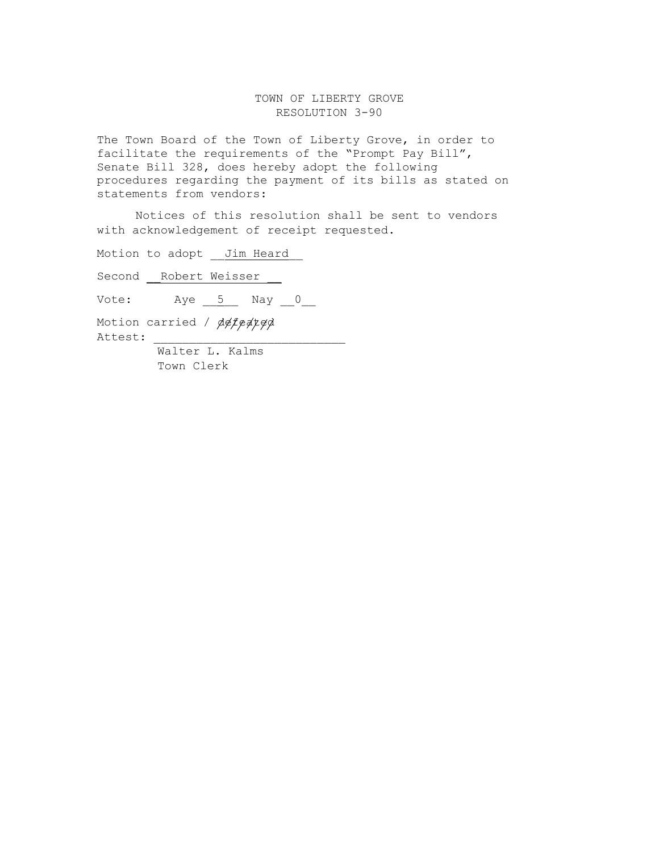## TOWN OF LIBERTY GROVE RESOLUTION 3-90

The Town Board of the Town of Liberty Grove, in order to facilitate the requirements of the "Prompt Pay Bill", Senate Bill 328, does hereby adopt the following procedures regarding the payment of its bills as stated on statements from vendors:

Notices of this resolution shall be sent to vendors with acknowledgement of receipt requested.

Motion to adopt \_\_ Jim Heard

Second Robert Weisser

Vote: Aye 5 Nay 0

Motion carried /  $\frac{d}{dx}$ edugd Attest:

> Walter L. Kalms Town Clerk